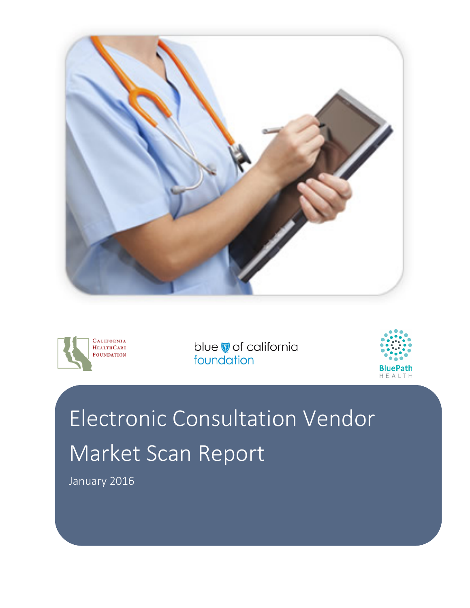





# Electronic Consultation Vendor Market Scan Report

January 2016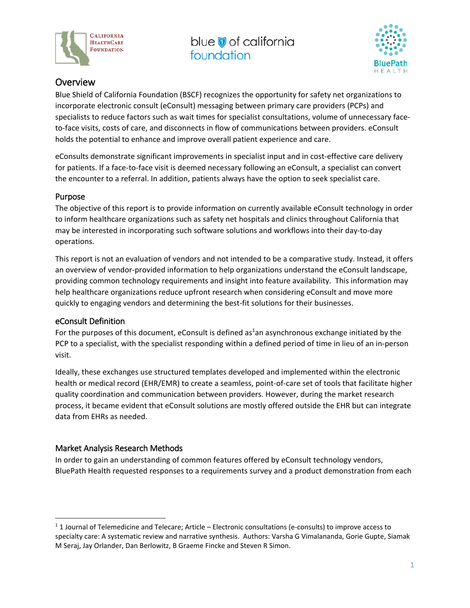



#### **Overview**

Blue Shield of California Foundation (BSCF) recognizes the opportunity for safety net organizations to incorporate electronic consult (eConsult) messaging between primary care providers (PCPs) and specialists to reduce factors such as wait times for specialist consultations, volume of unnecessary faceto-face visits, costs of care, and disconnects in flow of communications between providers. eConsult holds the potential to enhance and improve overall patient experience and care.

eConsults demonstrate significant improvements in specialist input and in cost-effective care delivery for patients. If a face-to-face visit is deemed necessary following an eConsult, a specialist can convert the encounter to a referral. In addition, patients always have the option to seek specialist care.

#### Purpose

The objective of this report is to provide information on currently available eConsult technology in order to inform healthcare organizations such as safety net hospitals and clinics throughout California that may be interested in incorporating such software solutions and workflows into their day-to-day operations.

This report is not an evaluation of vendors and not intended to be a comparative study. Instead, it offers an overview of vendor-provided information to help organizations understand the eConsult landscape, providing common technology requirements and insight into feature availability. This information may help healthcare organizations reduce upfront research when considering eConsult and move more quickly to engaging vendors and determining the best-fit solutions for their businesses.

#### eConsult Definition

For the purposes of this document, eConsult is defined as<sup>1</sup>an asynchronous exchange initiated by the PCP to a specialist, with the specialist responding within a defined period of time in lieu of an in-person visit.

Ideally, these exchanges use structured templates developed and implemented within the electronic health or medical record (EHR/EMR) to create a seamless, point-of-care set of tools that facilitate higher quality coordination and communication between providers. However, during the market research process, it became evident that eConsult solutions are mostly offered outside the EHR but can integrate data from EHRs as needed.

#### Market Analysis Research Methods

In order to gain an understanding of common features offered by eConsult technology vendors, BluePath Health requested responses to a requirements survey and a product demonstration from each

 <sup>1</sup> 1 Journal of Telemedicine and Telecare; Article – Electronic consultations (e-consults) to improve access to specialty care: A systematic review and narrative synthesis. Authors: Varsha G Vimalananda, Gorie Gupte, Siamak M Seraj, Jay Orlander, Dan Berlowitz, B Graeme Fincke and Steven R Simon.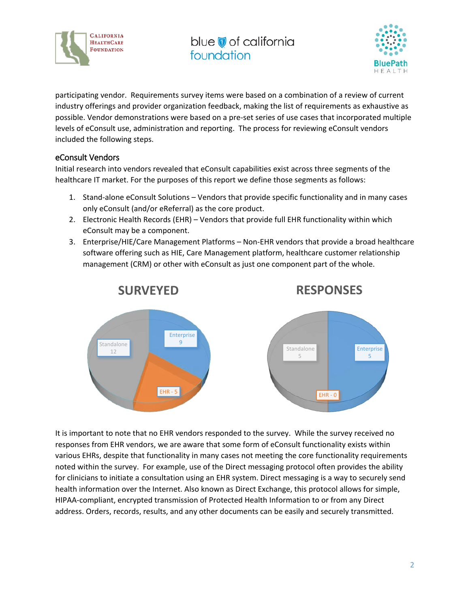



participating vendor. Requirements survey items were based on a combination of a review of current industry offerings and provider organization feedback, making the list of requirements as exhaustive as possible. Vendor demonstrations were based on a pre-set series of use cases that incorporated multiple levels of eConsult use, administration and reporting. The process for reviewing eConsult vendors included the following steps.

#### eConsult Vendors

Initial research into vendors revealed that eConsult capabilities exist across three segments of the healthcare IT market. For the purposes of this report we define those segments as follows:

- 1. Stand-alone eConsult Solutions Vendors that provide specific functionality and in many cases only eConsult (and/or eReferral) as the core product.
- 2. Electronic Health Records (EHR) Vendors that provide full EHR functionality within which eConsult may be a component.
- 3. Enterprise/HIE/Care Management Platforms Non-EHR vendors that provide a broad healthcare software offering such as HIE, Care Management platform, healthcare customer relationship management (CRM) or other with eConsult as just one component part of the whole.



It is important to note that no EHR vendors responded to the survey. While the survey received no responses from EHR vendors, we are aware that some form of eConsult functionality exists within various EHRs, despite that functionality in many cases not meeting the core functionality requirements noted within the survey. For example, use of the Direct messaging protocol often provides the ability for clinicians to initiate a consultation using an EHR system. Direct messaging is a way to securely send health information over the Internet. Also known as Direct Exchange, this protocol allows for simple, HIPAA-compliant, encrypted transmission of Protected Health Information to or from any Direct address. Orders, records, results, and any other documents can be easily and securely transmitted.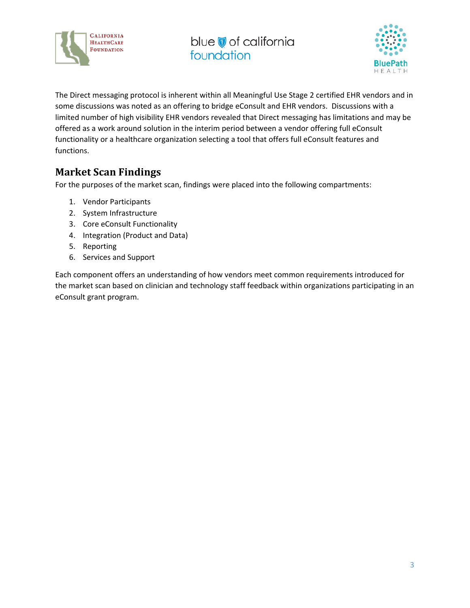



The Direct messaging protocol is inherent within all Meaningful Use Stage 2 certified EHR vendors and in some discussions was noted as an offering to bridge eConsult and EHR vendors. Discussions with a limited number of high visibility EHR vendors revealed that Direct messaging has limitations and may be offered as a work around solution in the interim period between a vendor offering full eConsult functionality or a healthcare organization selecting a tool that offers full eConsult features and functions.

### **Market Scan Findings**

For the purposes of the market scan, findings were placed into the following compartments:

- 1. Vendor Participants
- 2. System Infrastructure
- 3. Core eConsult Functionality
- 4. Integration (Product and Data)
- 5. Reporting
- 6. Services and Support

Each component offers an understanding of how vendors meet common requirements introduced for the market scan based on clinician and technology staff feedback within organizations participating in an eConsult grant program.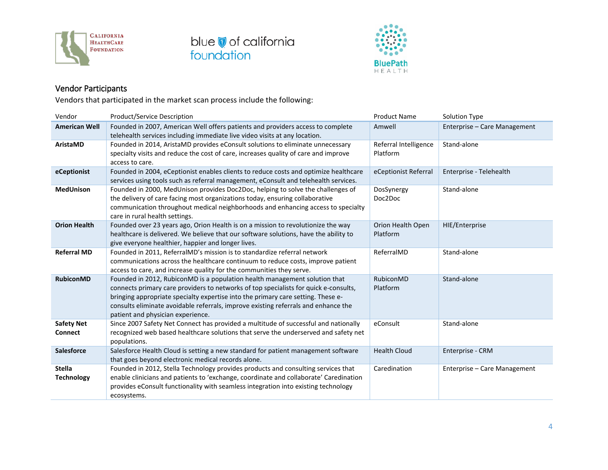





#### Vendor Participants

Vendors that participated in the market scan process include the following:

| Vendor                              | <b>Product/Service Description</b>                                                                                                                                                                                                                                                                                                                                                | <b>Product Name</b>               | Solution Type                |
|-------------------------------------|-----------------------------------------------------------------------------------------------------------------------------------------------------------------------------------------------------------------------------------------------------------------------------------------------------------------------------------------------------------------------------------|-----------------------------------|------------------------------|
| <b>American Well</b>                | Founded in 2007, American Well offers patients and providers access to complete<br>telehealth services including immediate live video visits at any location.                                                                                                                                                                                                                     | Amwell                            | Enterprise - Care Management |
| AristaMD                            | Founded in 2014, AristaMD provides eConsult solutions to eliminate unnecessary<br>specialty visits and reduce the cost of care, increases quality of care and improve<br>access to care.                                                                                                                                                                                          | Referral Intelligence<br>Platform | Stand-alone                  |
| eCeptionist                         | Founded in 2004, eCeptionist enables clients to reduce costs and optimize healthcare<br>services using tools such as referral management, eConsult and telehealth services.                                                                                                                                                                                                       | eCeptionist Referral              | Enterprise - Telehealth      |
| <b>MedUnison</b>                    | Founded in 2000, MedUnison provides Doc2Doc, helping to solve the challenges of<br>the delivery of care facing most organizations today, ensuring collaborative<br>communication throughout medical neighborhoods and enhancing access to specialty<br>care in rural health settings.                                                                                             | DosSynergy<br>Doc2Doc             | Stand-alone                  |
| <b>Orion Health</b>                 | Founded over 23 years ago, Orion Health is on a mission to revolutionize the way<br>healthcare is delivered. We believe that our software solutions, have the ability to<br>give everyone healthier, happier and longer lives.                                                                                                                                                    | Orion Health Open<br>Platform     | HIE/Enterprise               |
| <b>Referral MD</b>                  | Founded in 2011, ReferralMD's mission is to standardize referral network<br>communications across the healthcare continuum to reduce costs, improve patient<br>access to care, and increase quality for the communities they serve.                                                                                                                                               | ReferralMD                        | Stand-alone                  |
| <b>RubiconMD</b>                    | Founded in 2012, RubiconMD is a population health management solution that<br>connects primary care providers to networks of top specialists for quick e-consults,<br>bringing appropriate specialty expertise into the primary care setting. These e-<br>consults eliminate avoidable referrals, improve existing referrals and enhance the<br>patient and physician experience. | RubiconMD<br>Platform             | Stand-alone                  |
| <b>Safety Net</b><br><b>Connect</b> | Since 2007 Safety Net Connect has provided a multitude of successful and nationally<br>recognized web based healthcare solutions that serve the underserved and safety net<br>populations.                                                                                                                                                                                        | eConsult                          | Stand-alone                  |
| <b>Salesforce</b>                   | Salesforce Health Cloud is setting a new standard for patient management software<br>that goes beyond electronic medical records alone.                                                                                                                                                                                                                                           | <b>Health Cloud</b>               | Enterprise - CRM             |
| <b>Stella</b><br><b>Technology</b>  | Founded in 2012, Stella Technology provides products and consulting services that<br>enable clinicians and patients to 'exchange, coordinate and collaborate' Caredination<br>provides eConsult functionality with seamless integration into existing technology<br>ecosystems.                                                                                                   | Caredination                      | Enterprise - Care Management |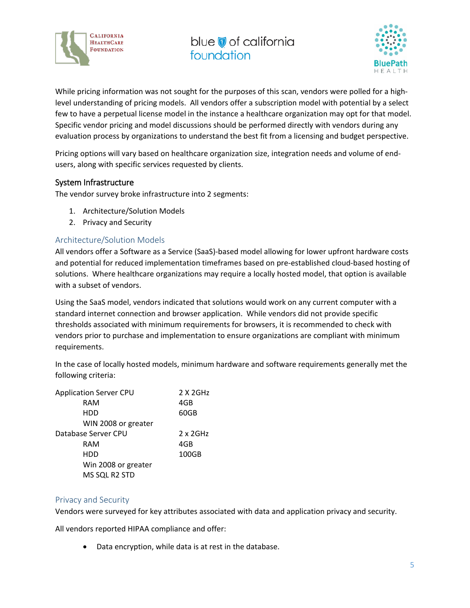



While pricing information was not sought for the purposes of this scan, vendors were polled for a highlevel understanding of pricing models. All vendors offer a subscription model with potential by a select few to have a perpetual license model in the instance a healthcare organization may opt for that model. Specific vendor pricing and model discussions should be performed directly with vendors during any evaluation process by organizations to understand the best fit from a licensing and budget perspective.

Pricing options will vary based on healthcare organization size, integration needs and volume of endusers, along with specific services requested by clients.

#### System Infrastructure

The vendor survey broke infrastructure into 2 segments:

- 1. Architecture/Solution Models
- 2. Privacy and Security

#### Architecture/Solution Models

All vendors offer a Software as a Service (SaaS)-based model allowing for lower upfront hardware costs and potential for reduced implementation timeframes based on pre-established cloud-based hosting of solutions. Where healthcare organizations may require a locally hosted model, that option is available with a subset of vendors.

Using the SaaS model, vendors indicated that solutions would work on any current computer with a standard internet connection and browser application. While vendors did not provide specific thresholds associated with minimum requirements for browsers, it is recommended to check with vendors prior to purchase and implementation to ensure organizations are compliant with minimum requirements.

In the case of locally hosted models, minimum hardware and software requirements generally met the following criteria:

| <b>Application Server CPU</b> | 2 X 2GHz         |
|-------------------------------|------------------|
| RAM                           | 4GB              |
| HDD                           | 60GB             |
| WIN 2008 or greater           |                  |
| Database Server CPU           | $2 \times 2$ GHz |
| RAM                           | 4GB              |
| HDD                           | 100GB            |
| Win 2008 or greater           |                  |
| MS SQL R2 STD                 |                  |

#### Privacy and Security

Vendors were surveyed for key attributes associated with data and application privacy and security.

All vendors reported HIPAA compliance and offer:

• Data encryption, while data is at rest in the database.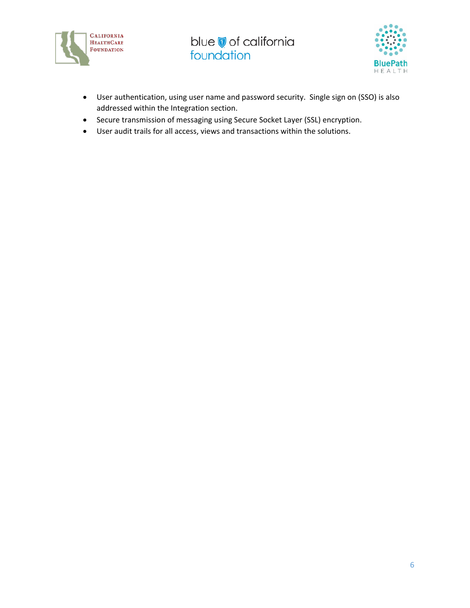



- User authentication, using user name and password security. Single sign on (SSO) is also addressed within the Integration section.
- Secure transmission of messaging using Secure Socket Layer (SSL) encryption.
- User audit trails for all access, views and transactions within the solutions.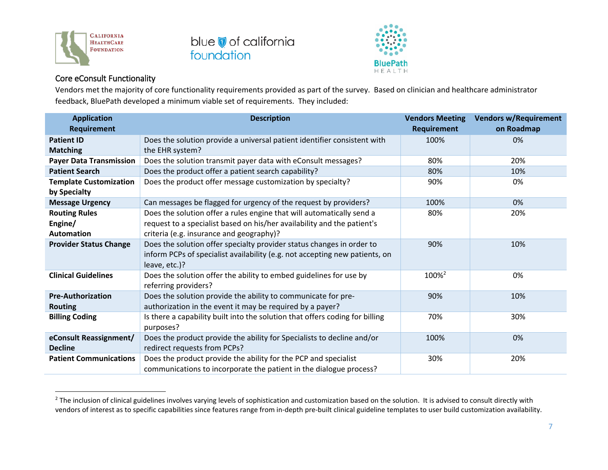



#### Core eConsult Functionality

Vendors met the majority of core functionality requirements provided as part of the survey. Based on clinician and healthcare administrator feedback, BluePath developed a minimum viable set of requirements. They included:

| <b>Application</b>             | <b>Description</b>                                                           | <b>Vendors Meeting</b> | <b>Vendors w/Requirement</b> |
|--------------------------------|------------------------------------------------------------------------------|------------------------|------------------------------|
| Requirement                    |                                                                              | <b>Requirement</b>     | on Roadmap                   |
| <b>Patient ID</b>              | Does the solution provide a universal patient identifier consistent with     | 100%                   | 0%                           |
| <b>Matching</b>                | the EHR system?                                                              |                        |                              |
| <b>Payer Data Transmission</b> | Does the solution transmit payer data with eConsult messages?                | 80%                    | 20%                          |
| <b>Patient Search</b>          | Does the product offer a patient search capability?                          | 80%                    | 10%                          |
| <b>Template Customization</b>  | Does the product offer message customization by specialty?                   | 90%                    | 0%                           |
| by Specialty                   |                                                                              |                        |                              |
| <b>Message Urgency</b>         | Can messages be flagged for urgency of the request by providers?             | 100%                   | 0%                           |
| <b>Routing Rules</b>           | Does the solution offer a rules engine that will automatically send a        | 80%                    | 20%                          |
| Engine/                        | request to a specialist based on his/her availability and the patient's      |                        |                              |
| <b>Automation</b>              | criteria (e.g. insurance and geography)?                                     |                        |                              |
| <b>Provider Status Change</b>  | Does the solution offer specialty provider status changes in order to        | 90%                    | 10%                          |
|                                | inform PCPs of specialist availability (e.g. not accepting new patients, on  |                        |                              |
|                                | leave, etc.)?                                                                |                        |                              |
| <b>Clinical Guidelines</b>     | Does the solution offer the ability to embed guidelines for use by           | 100% <sup>2</sup>      | 0%                           |
|                                | referring providers?                                                         |                        |                              |
| <b>Pre-Authorization</b>       | Does the solution provide the ability to communicate for pre-                | 90%                    | 10%                          |
| <b>Routing</b>                 | authorization in the event it may be required by a payer?                    |                        |                              |
| <b>Billing Coding</b>          | Is there a capability built into the solution that offers coding for billing | 70%                    | 30%                          |
|                                | purposes?                                                                    |                        |                              |
| eConsult Reassignment/         | Does the product provide the ability for Specialists to decline and/or       | 100%                   | 0%                           |
| <b>Decline</b>                 | redirect requests from PCPs?                                                 |                        |                              |
| <b>Patient Communications</b>  | Does the product provide the ability for the PCP and specialist              | 30%                    | 20%                          |
|                                | communications to incorporate the patient in the dialogue process?           |                        |                              |

<sup>&</sup>lt;sup>2</sup> The inclusion of clinical guidelines involves varying levels of sophistication and customization based on the solution. It is advised to consult directly with vendors of interest as to specific capabilities since features range from in-depth pre-built clinical guideline templates to user build customization availability.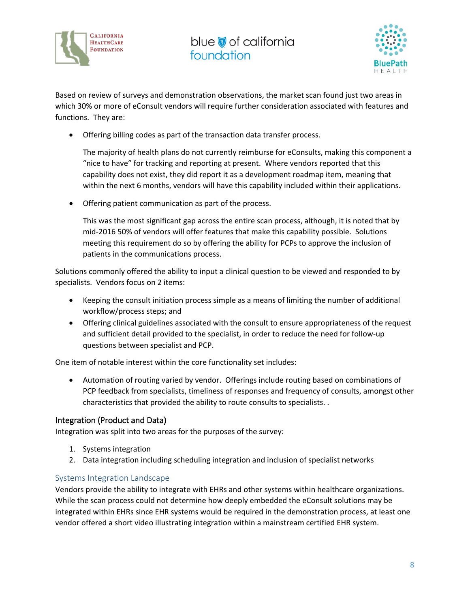



Based on review of surveys and demonstration observations, the market scan found just two areas in which 30% or more of eConsult vendors will require further consideration associated with features and functions. They are:

• Offering billing codes as part of the transaction data transfer process.

The majority of health plans do not currently reimburse for eConsults, making this component a "nice to have" for tracking and reporting at present. Where vendors reported that this capability does not exist, they did report it as a development roadmap item, meaning that within the next 6 months, vendors will have this capability included within their applications.

• Offering patient communication as part of the process.

This was the most significant gap across the entire scan process, although, it is noted that by mid-2016 50% of vendors will offer features that make this capability possible. Solutions meeting this requirement do so by offering the ability for PCPs to approve the inclusion of patients in the communications process.

Solutions commonly offered the ability to input a clinical question to be viewed and responded to by specialists. Vendors focus on 2 items:

- Keeping the consult initiation process simple as a means of limiting the number of additional workflow/process steps; and
- Offering clinical guidelines associated with the consult to ensure appropriateness of the request and sufficient detail provided to the specialist, in order to reduce the need for follow-up questions between specialist and PCP.

One item of notable interest within the core functionality set includes:

• Automation of routing varied by vendor. Offerings include routing based on combinations of PCP feedback from specialists, timeliness of responses and frequency of consults, amongst other characteristics that provided the ability to route consults to specialists. .

#### Integration (Product and Data)

Integration was split into two areas for the purposes of the survey:

- 1. Systems integration
- 2. Data integration including scheduling integration and inclusion of specialist networks

#### Systems Integration Landscape

Vendors provide the ability to integrate with EHRs and other systems within healthcare organizations. While the scan process could not determine how deeply embedded the eConsult solutions may be integrated within EHRs since EHR systems would be required in the demonstration process, at least one vendor offered a short video illustrating integration within a mainstream certified EHR system.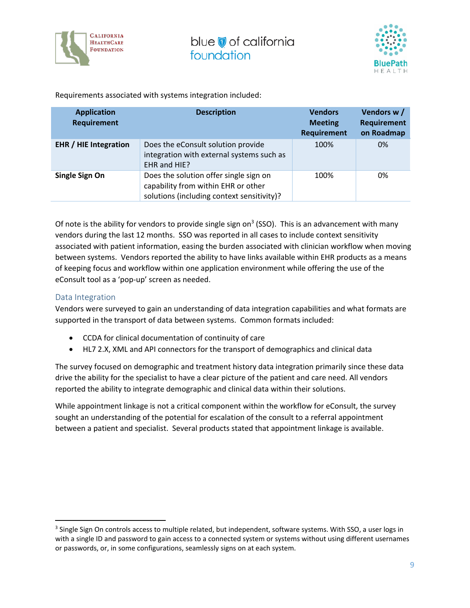



Requirements associated with systems integration included:

| <b>Application</b><br><b>Requirement</b> | <b>Description</b>                                                                                                          | <b>Vendors</b><br><b>Meeting</b><br><b>Requirement</b> | Vendors w/<br><b>Requirement</b><br>on Roadmap |
|------------------------------------------|-----------------------------------------------------------------------------------------------------------------------------|--------------------------------------------------------|------------------------------------------------|
| <b>EHR</b> / HIE Integration             | Does the eConsult solution provide<br>integration with external systems such as<br>EHR and HIE?                             | 100%                                                   | 0%                                             |
| Single Sign On                           | Does the solution offer single sign on<br>capability from within EHR or other<br>solutions (including context sensitivity)? | 100%                                                   | 0%                                             |

Of note is the ability for vendors to provide single sign on<sup>3</sup> (SSO). This is an advancement with many vendors during the last 12 months. SSO was reported in all cases to include context sensitivity associated with patient information, easing the burden associated with clinician workflow when moving between systems. Vendors reported the ability to have links available within EHR products as a means of keeping focus and workflow within one application environment while offering the use of the eConsult tool as a 'pop-up' screen as needed.

#### Data Integration

Vendors were surveyed to gain an understanding of data integration capabilities and what formats are supported in the transport of data between systems. Common formats included:

- CCDA for clinical documentation of continuity of care
- HL7 2.X, XML and API connectors for the transport of demographics and clinical data

The survey focused on demographic and treatment history data integration primarily since these data drive the ability for the specialist to have a clear picture of the patient and care need. All vendors reported the ability to integrate demographic and clinical data within their solutions.

While appointment linkage is not a critical component within the workflow for eConsult, the survey sought an understanding of the potential for escalation of the consult to a referral appointment between a patient and specialist. Several products stated that appointment linkage is available.

<sup>&</sup>lt;sup>3</sup> Single Sign On controls access to multiple related, but independent, [software](https://en.wikipedia.org/wiki/Software) systems. With SSO, a use[r logs in](https://en.wikipedia.org/wiki/Login) with a single ID and password to gain access to a connected system or systems without using different usernames or passwords, or, in some configurations, seamlessly signs on at each system.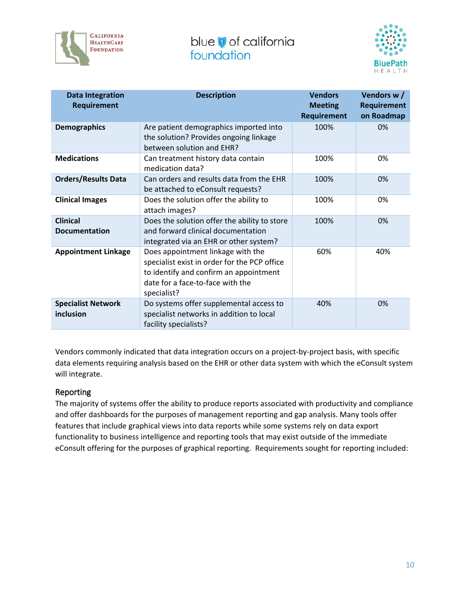



| <b>Data Integration</b><br>Requirement  | <b>Description</b>                                                                                                                                                             | <b>Vendors</b><br><b>Meeting</b><br>Requirement | Vendors w/<br><b>Requirement</b><br>on Roadmap |
|-----------------------------------------|--------------------------------------------------------------------------------------------------------------------------------------------------------------------------------|-------------------------------------------------|------------------------------------------------|
| <b>Demographics</b>                     | Are patient demographics imported into<br>the solution? Provides ongoing linkage<br>between solution and EHR?                                                                  | 100%                                            | 0%                                             |
| <b>Medications</b>                      | Can treatment history data contain<br>medication data?                                                                                                                         | 100%                                            | 0%                                             |
| <b>Orders/Results Data</b>              | Can orders and results data from the EHR<br>be attached to eConsult requests?                                                                                                  | 100%                                            | 0%                                             |
| <b>Clinical Images</b>                  | Does the solution offer the ability to<br>attach images?                                                                                                                       | 100%                                            | 0%                                             |
| <b>Clinical</b><br><b>Documentation</b> | Does the solution offer the ability to store<br>and forward clinical documentation<br>integrated via an EHR or other system?                                                   | 100%                                            | 0%                                             |
| <b>Appointment Linkage</b>              | Does appointment linkage with the<br>specialist exist in order for the PCP office<br>to identify and confirm an appointment<br>date for a face-to-face with the<br>specialist? | 60%                                             | 40%                                            |
| <b>Specialist Network</b><br>inclusion  | Do systems offer supplemental access to<br>specialist networks in addition to local<br>facility specialists?                                                                   | 40%                                             | 0%                                             |

Vendors commonly indicated that data integration occurs on a project-by-project basis, with specific data elements requiring analysis based on the EHR or other data system with which the eConsult system will integrate.

#### Reporting

The majority of systems offer the ability to produce reports associated with productivity and compliance and offer dashboards for the purposes of management reporting and gap analysis. Many tools offer features that include graphical views into data reports while some systems rely on data export functionality to business intelligence and reporting tools that may exist outside of the immediate eConsult offering for the purposes of graphical reporting. Requirements sought for reporting included: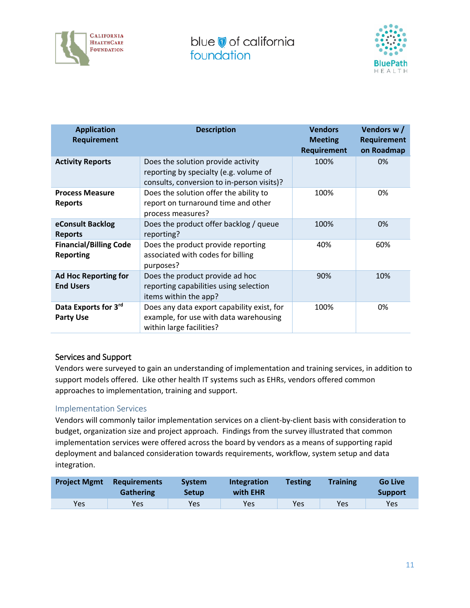



| <b>Application</b><br><b>Requirement</b>          | <b>Description</b>                                                                                                         | <b>Vendors</b><br><b>Meeting</b><br><b>Requirement</b> | Vendors w/<br><b>Requirement</b><br>on Roadmap |
|---------------------------------------------------|----------------------------------------------------------------------------------------------------------------------------|--------------------------------------------------------|------------------------------------------------|
| <b>Activity Reports</b>                           | Does the solution provide activity<br>reporting by specialty (e.g. volume of<br>consults, conversion to in-person visits)? | 100%                                                   | 0%                                             |
| <b>Process Measure</b><br><b>Reports</b>          | Does the solution offer the ability to<br>report on turnaround time and other<br>process measures?                         | 100%                                                   | 0%                                             |
| eConsult Backlog<br><b>Reports</b>                | Does the product offer backlog / queue<br>reporting?                                                                       | 100%                                                   | 0%                                             |
| <b>Financial/Billing Code</b><br><b>Reporting</b> | Does the product provide reporting<br>associated with codes for billing<br>purposes?                                       | 40%                                                    | 60%                                            |
| <b>Ad Hoc Reporting for</b><br><b>End Users</b>   | Does the product provide ad hoc<br>reporting capabilities using selection<br>items within the app?                         | 90%                                                    | 10%                                            |
| Data Exports for 3rd<br><b>Party Use</b>          | Does any data export capability exist, for<br>example, for use with data warehousing<br>within large facilities?           | 100%                                                   | 0%                                             |

#### Services and Support

Vendors were surveyed to gain an understanding of implementation and training services, in addition to support models offered. Like other health IT systems such as EHRs, vendors offered common approaches to implementation, training and support.

#### Implementation Services

Vendors will commonly tailor implementation services on a client-by-client basis with consideration to budget, organization size and project approach. Findings from the survey illustrated that common implementation services were offered across the board by vendors as a means of supporting rapid deployment and balanced consideration towards requirements, workflow, system setup and data integration.

| <b>Project Mgmt</b> | <b>Requirements</b><br><b>Gathering</b> | <b>System</b><br><b>Setup</b> | <b>Integration</b><br>with EHR | <b>Testing</b> | <b>Training</b> | <b>Go Live</b><br><b>Support</b> |
|---------------------|-----------------------------------------|-------------------------------|--------------------------------|----------------|-----------------|----------------------------------|
| Yes                 | Yes                                     | Yes                           | Yes                            | Yes            | Yes             | Yes                              |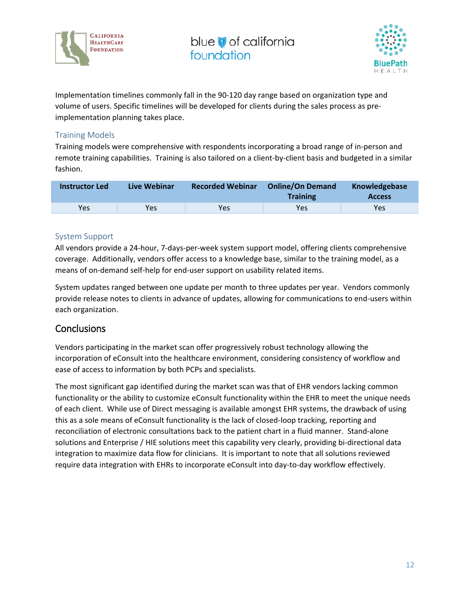



Implementation timelines commonly fall in the 90-120 day range based on organization type and volume of users. Specific timelines will be developed for clients during the sales process as preimplementation planning takes place.

#### Training Models

Training models were comprehensive with respondents incorporating a broad range of in-person and remote training capabilities. Training is also tailored on a client-by-client basis and budgeted in a similar fashion.

| <b>Instructor Led</b> | Live Webinar | <b>Recorded Webinar</b> | <b>Online/On Demand</b><br><b>Training</b> | Knowledgebase<br><b>Access</b> |
|-----------------------|--------------|-------------------------|--------------------------------------------|--------------------------------|
| Yes                   | Yes          | Yes                     | Yes                                        | Yes                            |

#### System Support

All vendors provide a 24-hour, 7-days-per-week system support model, offering clients comprehensive coverage. Additionally, vendors offer access to a knowledge base, similar to the training model, as a means of on-demand self-help for end-user support on usability related items.

System updates ranged between one update per month to three updates per year. Vendors commonly provide release notes to clients in advance of updates, allowing for communications to end-users within each organization.

#### **Conclusions**

Vendors participating in the market scan offer progressively robust technology allowing the incorporation of eConsult into the healthcare environment, considering consistency of workflow and ease of access to information by both PCPs and specialists.

The most significant gap identified during the market scan was that of EHR vendors lacking common functionality or the ability to customize eConsult functionality within the EHR to meet the unique needs of each client. While use of Direct messaging is available amongst EHR systems, the drawback of using this as a sole means of eConsult functionality is the lack of closed-loop tracking, reporting and reconciliation of electronic consultations back to the patient chart in a fluid manner. Stand-alone solutions and Enterprise / HIE solutions meet this capability very clearly, providing bi-directional data integration to maximize data flow for clinicians. It is important to note that all solutions reviewed require data integration with EHRs to incorporate eConsult into day-to-day workflow effectively.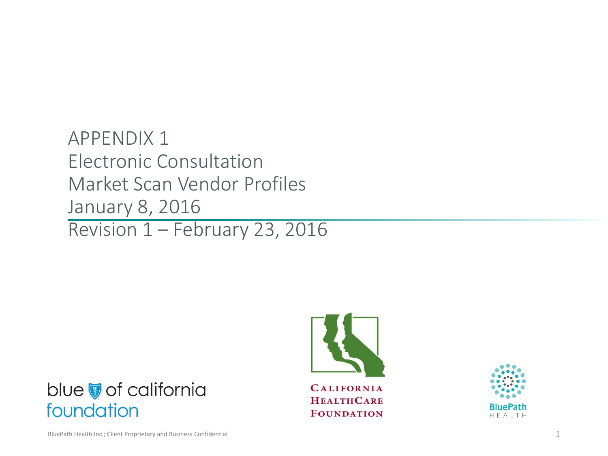APPENDIX 1 Electronic Consultation Market Scan Vendor Profiles January 8, 2016 Revision 1 – February 23, 2016

blue of california





foundation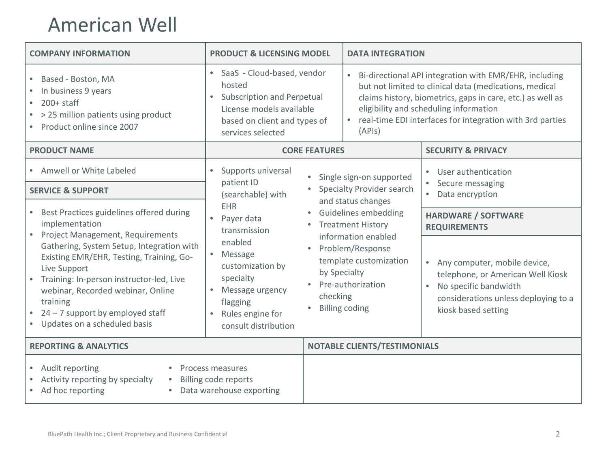### American Well

| <b>COMPANY INFORMATION</b>                                                                                                                                                                                                                                               | <b>PRODUCT &amp; LICENSING MODEL</b>                                                                                                                                    | <b>DATA INTEGRATION</b>                                                                                                                                                                                                                                                                         |                                                                                                                                                                                     |
|--------------------------------------------------------------------------------------------------------------------------------------------------------------------------------------------------------------------------------------------------------------------------|-------------------------------------------------------------------------------------------------------------------------------------------------------------------------|-------------------------------------------------------------------------------------------------------------------------------------------------------------------------------------------------------------------------------------------------------------------------------------------------|-------------------------------------------------------------------------------------------------------------------------------------------------------------------------------------|
| Based - Boston, MA<br>In business 9 years<br>$200+$ staff<br>$\bullet$<br>> 25 million patients using product<br>• Product online since 2007                                                                                                                             | SaaS - Cloud-based, vendor<br>$\bullet$<br>hosted<br><b>Subscription and Perpetual</b><br>License models available<br>based on client and types of<br>services selected | Bi-directional API integration with EMR/EHR, including<br>but not limited to clinical data (medications, medical<br>claims history, biometrics, gaps in care, etc.) as well as<br>eligibility and scheduling information<br>real-time EDI interfaces for integration with 3rd parties<br>(APIs) |                                                                                                                                                                                     |
| <b>PRODUCT NAME</b>                                                                                                                                                                                                                                                      | <b>CORE FEATURES</b>                                                                                                                                                    |                                                                                                                                                                                                                                                                                                 | <b>SECURITY &amp; PRIVACY</b>                                                                                                                                                       |
| • Amwell or White Labeled                                                                                                                                                                                                                                                | Supports universal<br>$\bullet$                                                                                                                                         | Single sign-on supported                                                                                                                                                                                                                                                                        | User authentication                                                                                                                                                                 |
| <b>SERVICE &amp; SUPPORT</b>                                                                                                                                                                                                                                             | patient ID<br>(searchable) with                                                                                                                                         | Specialty Provider search<br>and status changes<br>• Guidelines embedding<br><b>Treatment History</b><br>information enabled                                                                                                                                                                    | Secure messaging<br>Data encryption<br>$\bullet$                                                                                                                                    |
| Best Practices guidelines offered during<br>implementation<br><b>Project Management, Requirements</b>                                                                                                                                                                    | <b>EHR</b><br>Payer data<br>transmission                                                                                                                                |                                                                                                                                                                                                                                                                                                 | <b>HARDWARE / SOFTWARE</b><br><b>REQUIREMENTS</b>                                                                                                                                   |
| Gathering, System Setup, Integration with<br>Existing EMR/EHR, Testing, Training, Go-<br>Live Support<br>Training: In-person instructor-led, Live<br>webinar, Recorded webinar, Online<br>training<br>$24 - 7$ support by employed staff<br>Updates on a scheduled basis | enabled<br>Message<br>customization by<br>specialty<br>$\bullet$<br>Message urgency<br>checking<br>flagging<br>Rules engine for<br>consult distribution                 | Problem/Response<br>template customization<br>by Specialty<br>Pre-authorization<br><b>Billing coding</b>                                                                                                                                                                                        | Any computer, mobile device,<br>$\bullet$<br>telephone, or American Well Kiosk<br>No specific bandwidth<br>$\bullet$<br>considerations unless deploying to a<br>kiosk based setting |
| <b>REPORTING &amp; ANALYTICS</b>                                                                                                                                                                                                                                         |                                                                                                                                                                         | <b>NOTABLE CLIENTS/TESTIMONIALS</b>                                                                                                                                                                                                                                                             |                                                                                                                                                                                     |
| • Audit reporting<br>Activity reporting by specialty<br>$\bullet$<br>Ad hoc reporting                                                                                                                                                                                    | Process measures<br>Billing code reports<br>Data warehouse exporting                                                                                                    |                                                                                                                                                                                                                                                                                                 |                                                                                                                                                                                     |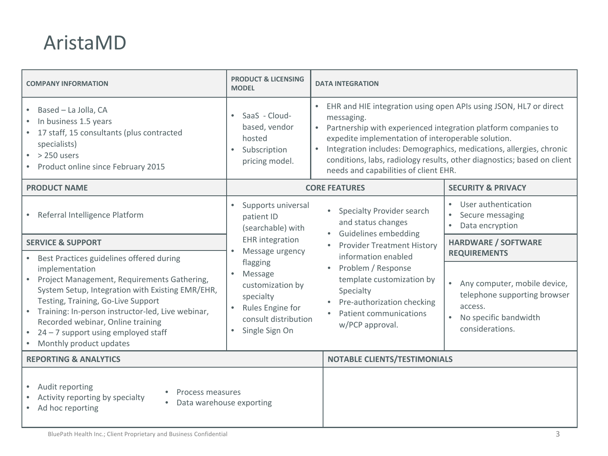### AristaMD

| <b>COMPANY INFORMATION</b>                                                                                                                                                                                                                                                                                                                                                                | <b>PRODUCT &amp; LICENSING</b><br><b>MODEL</b>                                                                                  | <b>DATA INTEGRATION</b>                                                                                                                                                                                                                                                                                                                                                                                         |                                                                                                                       |
|-------------------------------------------------------------------------------------------------------------------------------------------------------------------------------------------------------------------------------------------------------------------------------------------------------------------------------------------------------------------------------------------|---------------------------------------------------------------------------------------------------------------------------------|-----------------------------------------------------------------------------------------------------------------------------------------------------------------------------------------------------------------------------------------------------------------------------------------------------------------------------------------------------------------------------------------------------------------|-----------------------------------------------------------------------------------------------------------------------|
| Based - La Jolla, CA<br>$\bullet$<br>In business 1.5 years<br>17 staff, 15 consultants (plus contracted<br>specialists)<br>$>$ 250 users<br>• Product online since February 2015                                                                                                                                                                                                          | SaaS - Cloud-<br>$\bullet$<br>based, vendor<br>hosted<br>Subscription<br>$\bullet$<br>pricing model.                            | EHR and HIE integration using open APIs using JSON, HL7 or direct<br>messaging.<br>Partnership with experienced integration platform companies to<br>$\bullet$<br>expedite implementation of interoperable solution.<br>Integration includes: Demographics, medications, allergies, chronic<br>conditions, labs, radiology results, other diagnostics; based on client<br>needs and capabilities of client EHR. |                                                                                                                       |
| <b>PRODUCT NAME</b>                                                                                                                                                                                                                                                                                                                                                                       |                                                                                                                                 | <b>CORE FEATURES</b>                                                                                                                                                                                                                                                                                                                                                                                            | <b>SECURITY &amp; PRIVACY</b>                                                                                         |
| • Referral Intelligence Platform                                                                                                                                                                                                                                                                                                                                                          | Supports universal<br>$\bullet$<br>patient ID<br>(searchable) with                                                              | Specialty Provider search<br>$\bullet$<br>and status changes                                                                                                                                                                                                                                                                                                                                                    | User authentication<br>Secure messaging<br>$\bullet$<br>Data encryption                                               |
| <b>SERVICE &amp; SUPPORT</b>                                                                                                                                                                                                                                                                                                                                                              | <b>EHR</b> integration<br>Message urgency                                                                                       | Guidelines embedding<br><b>Provider Treatment History</b><br>information enabled                                                                                                                                                                                                                                                                                                                                | <b>HARDWARE / SOFTWARE</b><br><b>REQUIREMENTS</b>                                                                     |
| Best Practices guidelines offered during<br>$\bullet$<br>implementation<br>Project Management, Requirements Gathering,<br>System Setup, Integration with Existing EMR/EHR,<br>Testing, Training, Go-Live Support<br>Training: In-person instructor-led, Live webinar,<br>$\bullet$<br>Recorded webinar, Online training<br>24 - 7 support using employed staff<br>Monthly product updates | flagging<br>Message<br>customization by<br>specialty<br>Rules Engine for<br>consult distribution<br>Single Sign On<br>$\bullet$ | Problem / Response<br>$\bullet$<br>template customization by<br>Specialty<br>Pre-authorization checking<br>Patient communications<br>w/PCP approval.                                                                                                                                                                                                                                                            | • Any computer, mobile device,<br>telephone supporting browser<br>access.<br>No specific bandwidth<br>considerations. |
| <b>REPORTING &amp; ANALYTICS</b>                                                                                                                                                                                                                                                                                                                                                          | NOTABLE CLIENTS/TESTIMONIALS                                                                                                    |                                                                                                                                                                                                                                                                                                                                                                                                                 |                                                                                                                       |
| Audit reporting<br>Process measures<br>Activity reporting by specialty<br>Data warehouse exporting<br>$\bullet$<br>Ad hoc reporting                                                                                                                                                                                                                                                       |                                                                                                                                 |                                                                                                                                                                                                                                                                                                                                                                                                                 |                                                                                                                       |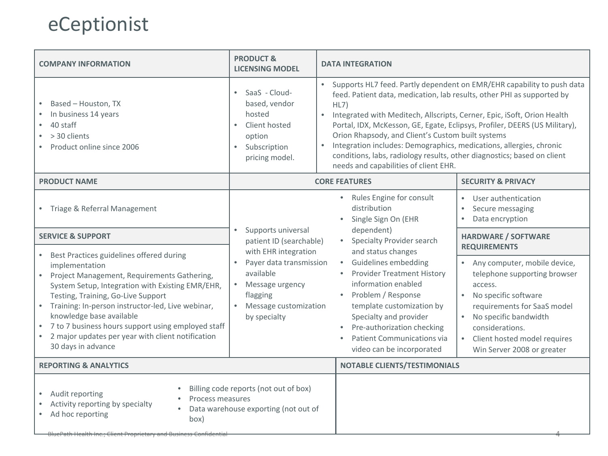# eCeptionist

| <b>COMPANY INFORMATION</b>                                                                                                                                                                                                                                                                                                                                                                                                                        | <b>PRODUCT &amp;</b><br><b>LICENSING MODEL</b>                                                                                                    | <b>DATA INTEGRATION</b>                                                                                                                                                                                                                                                                                                                                                                                                                                                                                                                                                                                  |                                                                                                                                                                                                                                                                    |  |
|---------------------------------------------------------------------------------------------------------------------------------------------------------------------------------------------------------------------------------------------------------------------------------------------------------------------------------------------------------------------------------------------------------------------------------------------------|---------------------------------------------------------------------------------------------------------------------------------------------------|----------------------------------------------------------------------------------------------------------------------------------------------------------------------------------------------------------------------------------------------------------------------------------------------------------------------------------------------------------------------------------------------------------------------------------------------------------------------------------------------------------------------------------------------------------------------------------------------------------|--------------------------------------------------------------------------------------------------------------------------------------------------------------------------------------------------------------------------------------------------------------------|--|
| Based - Houston, TX<br>In business 14 years<br>40 staff<br>> 30 clients<br>Product online since 2006                                                                                                                                                                                                                                                                                                                                              | SaaS - Cloud-<br>based, vendor<br>hosted<br>Client hosted<br>option<br>Subscription<br>$\bullet$<br>pricing model.                                | Supports HL7 feed. Partly dependent on EMR/EHR capability to push data<br>$\bullet$<br>feed. Patient data, medication, lab results, other PHI as supported by<br>HL7)<br>Integrated with Meditech, Allscripts, Cerner, Epic, iSoft, Orion Health<br>$\bullet$<br>Portal, IDX, McKesson, GE, Egate, Eclipsys, Profiler, DEERS (US Military),<br>Orion Rhapsody, and Client's Custom built systems<br>Integration includes: Demographics, medications, allergies, chronic<br>$\bullet$<br>conditions, labs, radiology results, other diagnostics; based on client<br>needs and capabilities of client EHR. |                                                                                                                                                                                                                                                                    |  |
| <b>PRODUCT NAME</b>                                                                                                                                                                                                                                                                                                                                                                                                                               |                                                                                                                                                   | <b>CORE FEATURES</b>                                                                                                                                                                                                                                                                                                                                                                                                                                                                                                                                                                                     | <b>SECURITY &amp; PRIVACY</b>                                                                                                                                                                                                                                      |  |
| • Triage & Referral Management                                                                                                                                                                                                                                                                                                                                                                                                                    |                                                                                                                                                   | Rules Engine for consult<br>$\bullet$<br>distribution<br>Single Sign On (EHR                                                                                                                                                                                                                                                                                                                                                                                                                                                                                                                             | User authentication<br>$\bullet$<br>Secure messaging<br>$\bullet$<br>Data encryption<br>$\bullet$                                                                                                                                                                  |  |
| <b>SERVICE &amp; SUPPORT</b>                                                                                                                                                                                                                                                                                                                                                                                                                      | Supports universal<br>patient ID (searchable)                                                                                                     | dependent)<br>Specialty Provider search                                                                                                                                                                                                                                                                                                                                                                                                                                                                                                                                                                  | <b>HARDWARE / SOFTWARE</b><br><b>REQUIREMENTS</b>                                                                                                                                                                                                                  |  |
| • Best Practices guidelines offered during<br>implementation<br>Project Management, Requirements Gathering,<br>$\bullet$<br>System Setup, Integration with Existing EMR/EHR,<br>Testing, Training, Go-Live Support<br>Training: In-person instructor-led, Live webinar,<br>$\bullet$<br>knowledge base available<br>7 to 7 business hours support using employed staff<br>2 major updates per year with client notification<br>30 days in advance | with EHR integration<br>Payer data transmission<br>available<br>Message urgency<br>flagging<br>Message customization<br>$\bullet$<br>by specialty | and status changes<br>Guidelines embedding<br><b>Provider Treatment History</b><br>information enabled<br>Problem / Response<br>template customization by<br>Specialty and provider<br>Pre-authorization checking<br>Patient Communications via<br>video can be incorporated                                                                                                                                                                                                                                                                                                                             | Any computer, mobile device,<br>telephone supporting browser<br>access.<br>No specific software<br>$\bullet$<br>requirements for SaaS model<br>No specific bandwidth<br>$\bullet$<br>considerations.<br>Client hosted model requires<br>Win Server 2008 or greater |  |
| <b>REPORTING &amp; ANALYTICS</b>                                                                                                                                                                                                                                                                                                                                                                                                                  |                                                                                                                                                   | <b>NOTABLE CLIENTS/TESTIMONIALS</b>                                                                                                                                                                                                                                                                                                                                                                                                                                                                                                                                                                      |                                                                                                                                                                                                                                                                    |  |
| Billing code reports (not out of box)<br>Audit reporting<br>Process measures<br>Activity reporting by specialty<br>Data warehouse exporting (not out of<br>Ad hoc reporting<br>box)<br><u> BluePath Health Inc.; Client Proprietary and Business Confidentia</u>                                                                                                                                                                                  |                                                                                                                                                   |                                                                                                                                                                                                                                                                                                                                                                                                                                                                                                                                                                                                          |                                                                                                                                                                                                                                                                    |  |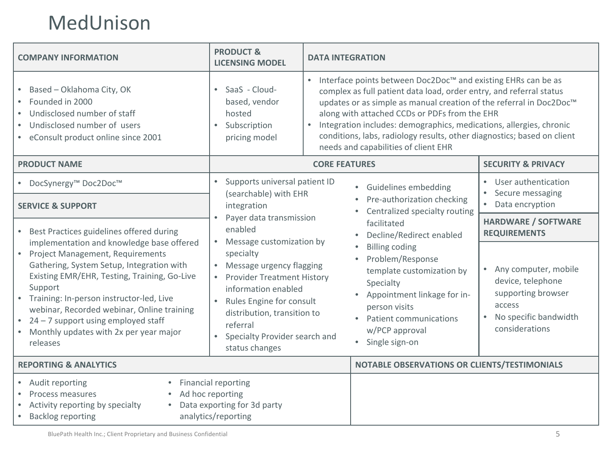### MedUnison

| <b>PRODUCT &amp;</b><br><b>COMPANY INFORMATION</b><br><b>LICENSING MODEL</b>                                                                                                                                                                                                                                                                              |                                                                                                                                                                                                                                                       | <b>DATA INTEGRATION</b>                                                                                                                                                                                                                                                                                                                                                                                                                                                         |                                                                                                                                                |  |  |
|-----------------------------------------------------------------------------------------------------------------------------------------------------------------------------------------------------------------------------------------------------------------------------------------------------------------------------------------------------------|-------------------------------------------------------------------------------------------------------------------------------------------------------------------------------------------------------------------------------------------------------|---------------------------------------------------------------------------------------------------------------------------------------------------------------------------------------------------------------------------------------------------------------------------------------------------------------------------------------------------------------------------------------------------------------------------------------------------------------------------------|------------------------------------------------------------------------------------------------------------------------------------------------|--|--|
| • Based - Oklahoma City, OK<br>Founded in 2000<br>$\bullet$<br>Undisclosed number of staff<br>$\bullet$<br>Undisclosed number of users<br>• eConsult product online since 2001                                                                                                                                                                            | SaaS - Cloud-<br>$\bullet$<br>based, vendor<br>hosted<br>Subscription<br>pricing model                                                                                                                                                                | Interface points between Doc2Doc <sup>™</sup> and existing EHRs can be as<br>$\bullet$<br>complex as full patient data load, order entry, and referral status<br>updates or as simple as manual creation of the referral in Doc2Doc™<br>along with attached CCDs or PDFs from the EHR<br>Integration includes: demographics, medications, allergies, chronic<br>conditions, labs, radiology results, other diagnostics; based on client<br>needs and capabilities of client EHR |                                                                                                                                                |  |  |
| <b>PRODUCT NAME</b>                                                                                                                                                                                                                                                                                                                                       |                                                                                                                                                                                                                                                       | <b>CORE FEATURES</b>                                                                                                                                                                                                                                                                                                                                                                                                                                                            | <b>SECURITY &amp; PRIVACY</b>                                                                                                                  |  |  |
| ● DocSynergy™ Doc2Doc™<br><b>SERVICE &amp; SUPPORT</b>                                                                                                                                                                                                                                                                                                    | Supports universal patient ID<br>(searchable) with EHR<br>integration                                                                                                                                                                                 | Guidelines embedding<br>$\bullet$<br>Pre-authorization checking<br>Centralized specialty routing                                                                                                                                                                                                                                                                                                                                                                                | • User authentication<br>Secure messaging<br>Data encryption<br>$\bullet$                                                                      |  |  |
| Best Practices guidelines offered during<br>implementation and knowledge base offered                                                                                                                                                                                                                                                                     | Payer data transmission<br>$\bullet$<br>enabled<br>Message customization by                                                                                                                                                                           | facilitated<br>Decline/Redirect enabled                                                                                                                                                                                                                                                                                                                                                                                                                                         | <b>HARDWARE / SOFTWARE</b><br><b>REQUIREMENTS</b>                                                                                              |  |  |
| Project Management, Requirements<br>$\bullet$<br>Gathering, System Setup, Integration with<br>Existing EMR/EHR, Testing, Training, Go-Live<br>Support<br>Training: In-person instructor-led, Live<br>webinar, Recorded webinar, Online training<br>24 - 7 support using employed staff<br>$\bullet$<br>Monthly updates with 2x per year major<br>releases | specialty<br>Message urgency flagging<br><b>Provider Treatment History</b><br>information enabled<br>$\bullet$<br>Rules Engine for consult<br>distribution, transition to<br>referral<br>Specialty Provider search and<br>$\bullet$<br>status changes | <b>Billing coding</b><br>Problem/Response<br>$\bullet$<br>template customization by<br>Specialty<br>Appointment linkage for in-<br>person visits<br>Patient communications<br>w/PCP approval<br>Single sign-on                                                                                                                                                                                                                                                                  | Any computer, mobile<br>$\bullet$<br>device, telephone<br>supporting browser<br>access<br>No specific bandwidth<br>$\bullet$<br>considerations |  |  |
| <b>REPORTING &amp; ANALYTICS</b>                                                                                                                                                                                                                                                                                                                          |                                                                                                                                                                                                                                                       | NOTABLE OBSERVATIONS OR CLIENTS/TESTIMONIALS                                                                                                                                                                                                                                                                                                                                                                                                                                    |                                                                                                                                                |  |  |
| Financial reporting<br>• Audit reporting<br>Ad hoc reporting<br>Process measures<br>$\bullet$<br>Data exporting for 3d party<br>Activity reporting by specialty<br><b>Backlog reporting</b><br>analytics/reporting<br>$\bullet$                                                                                                                           |                                                                                                                                                                                                                                                       |                                                                                                                                                                                                                                                                                                                                                                                                                                                                                 |                                                                                                                                                |  |  |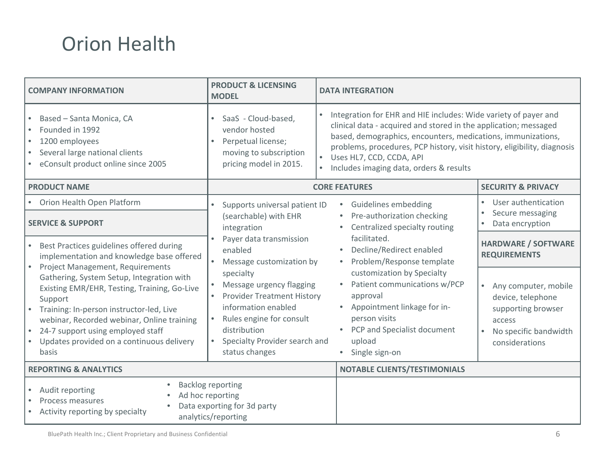# Orion Health

| <b>COMPANY INFORMATION</b>                                                                                                                                                                                                                                                                                                    | <b>PRODUCT &amp; LICENSING</b><br><b>MODEL</b>                                                                                                                                                   | <b>DATA INTEGRATION</b>                                                                                                                                                                                                                                                                                                                                  |                                                                                                                                   |
|-------------------------------------------------------------------------------------------------------------------------------------------------------------------------------------------------------------------------------------------------------------------------------------------------------------------------------|--------------------------------------------------------------------------------------------------------------------------------------------------------------------------------------------------|----------------------------------------------------------------------------------------------------------------------------------------------------------------------------------------------------------------------------------------------------------------------------------------------------------------------------------------------------------|-----------------------------------------------------------------------------------------------------------------------------------|
| Based - Santa Monica, CA<br>Founded in 1992<br>1200 employees<br>Several large national clients<br>eConsult product online since 2005                                                                                                                                                                                         | SaaS - Cloud-based,<br>$\bullet$<br>vendor hosted<br>Perpetual license;<br>$\bullet$<br>moving to subscription<br>pricing model in 2015.                                                         | Integration for EHR and HIE includes: Wide variety of payer and<br>clinical data - acquired and stored in the application; messaged<br>based, demographics, encounters, medications, immunizations,<br>problems, procedures, PCP history, visit history, eligibility, diagnosis<br>• Uses HL7, CCD, CCDA, API<br>Includes imaging data, orders & results |                                                                                                                                   |
| <b>PRODUCT NAME</b>                                                                                                                                                                                                                                                                                                           |                                                                                                                                                                                                  | <b>CORE FEATURES</b>                                                                                                                                                                                                                                                                                                                                     | <b>SECURITY &amp; PRIVACY</b>                                                                                                     |
| • Orion Health Open Platform<br><b>SERVICE &amp; SUPPORT</b>                                                                                                                                                                                                                                                                  | Supports universal patient ID<br>$\bullet$<br>(searchable) with EHR<br>integration                                                                                                               | Guidelines embedding<br>Pre-authorization checking<br>Centralized specialty routing                                                                                                                                                                                                                                                                      | User authentication<br>Secure messaging<br>Data encryption                                                                        |
| Best Practices guidelines offered during<br>implementation and knowledge base offered                                                                                                                                                                                                                                         | Payer data transmission<br>enabled<br>Message customization by                                                                                                                                   | facilitated.<br>Decline/Redirect enabled<br>Problem/Response template                                                                                                                                                                                                                                                                                    | <b>HARDWARE / SOFTWARE</b><br><b>REQUIREMENTS</b>                                                                                 |
| Project Management, Requirements<br>Gathering, System Setup, Integration with<br>Existing EMR/EHR, Testing, Training, Go-Live<br>Support<br>Training: In-person instructor-led, Live<br>webinar, Recorded webinar, Online training<br>24-7 support using employed staff<br>Updates provided on a continuous delivery<br>basis | specialty<br>Message urgency flagging<br><b>Provider Treatment History</b><br>information enabled<br>Rules engine for consult<br>distribution<br>Specialty Provider search and<br>status changes | customization by Specialty<br>Patient communications w/PCP<br>approval<br>Appointment linkage for in-<br>person visits<br>PCP and Specialist document<br>upload<br>Single sign-on                                                                                                                                                                        | Any computer, mobile<br>$\bullet$<br>device, telephone<br>supporting browser<br>access<br>No specific bandwidth<br>considerations |
| <b>REPORTING &amp; ANALYTICS</b>                                                                                                                                                                                                                                                                                              |                                                                                                                                                                                                  | <b>NOTABLE CLIENTS/TESTIMONIALS</b>                                                                                                                                                                                                                                                                                                                      |                                                                                                                                   |
| Audit reporting<br>Process measures<br>Activity reporting by specialty                                                                                                                                                                                                                                                        | <b>Backlog reporting</b><br>Ad hoc reporting<br>Data exporting for 3d party<br>analytics/reporting                                                                                               |                                                                                                                                                                                                                                                                                                                                                          |                                                                                                                                   |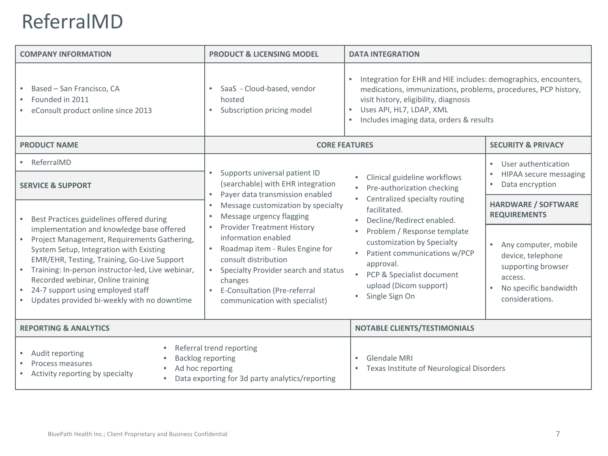# ReferralMD

| <b>COMPANY INFORMATION</b>                                                                                                                                                                                                                                                                                                                                                    | <b>PRODUCT &amp; LICENSING MODEL</b>                                                                                                                                                                                              | <b>DATA INTEGRATION</b>                                                                                                                                                                                                                                                                                                            |                                                                                                                                     |
|-------------------------------------------------------------------------------------------------------------------------------------------------------------------------------------------------------------------------------------------------------------------------------------------------------------------------------------------------------------------------------|-----------------------------------------------------------------------------------------------------------------------------------------------------------------------------------------------------------------------------------|------------------------------------------------------------------------------------------------------------------------------------------------------------------------------------------------------------------------------------------------------------------------------------------------------------------------------------|-------------------------------------------------------------------------------------------------------------------------------------|
| Based - San Francisco, CA<br>٠<br>Founded in 2011<br>٠<br>eConsult product online since 2013                                                                                                                                                                                                                                                                                  | SaaS - Cloud-based, vendor<br>$\bullet$<br>hosted<br>Subscription pricing model<br>$\bullet$                                                                                                                                      | Integration for EHR and HIE includes: demographics, encounters,<br>medications, immunizations, problems, procedures, PCP history,<br>visit history, eligibility, diagnosis<br>Uses API, HL7, LDAP, XML<br>Includes imaging data, orders & results                                                                                  |                                                                                                                                     |
| <b>PRODUCT NAME</b>                                                                                                                                                                                                                                                                                                                                                           | <b>CORE FEATURES</b>                                                                                                                                                                                                              |                                                                                                                                                                                                                                                                                                                                    | <b>SECURITY &amp; PRIVACY</b>                                                                                                       |
| • ReferralMD<br><b>SERVICE &amp; SUPPORT</b>                                                                                                                                                                                                                                                                                                                                  | Supports universal patient ID<br>(searchable) with EHR integration<br>Payer data transmission enabled<br>$\bullet$<br>Message customization by specialty<br>$\bullet$<br>Message urgency flagging                                 | Clinical guideline workflows<br>Pre-authorization checking<br>Centralized specialty routing<br>facilitated.<br>Decline/Redirect enabled.<br>Problem / Response template<br>۰<br>customization by Specialty<br>Patient communications w/PCP<br>approval.<br>• PCP & Specialist document<br>upload (Dicom support)<br>Single Sign On | User authentication<br>$\bullet$<br>HIPAA secure messaging<br>$\bullet$<br>Data encryption<br>$\bullet$                             |
| Best Practices guidelines offered during                                                                                                                                                                                                                                                                                                                                      |                                                                                                                                                                                                                                   |                                                                                                                                                                                                                                                                                                                                    | <b>HARDWARE / SOFTWARE</b><br><b>REQUIREMENTS</b>                                                                                   |
| implementation and knowledge base offered<br>Project Management, Requirements Gathering,<br>System Setup, Integration with Existing<br>EMR/EHR, Testing, Training, Go-Live Support<br>Training: In-person instructor-led, Live webinar,<br>$\bullet$<br>Recorded webinar, Online training<br>24-7 support using employed staff<br>Updates provided bi-weekly with no downtime | Provider Treatment History<br>information enabled<br>Roadmap item - Rules Engine for<br>consult distribution<br>Specialty Provider search and status<br>changes<br>E-Consultation (Pre-referral<br>communication with specialist) |                                                                                                                                                                                                                                                                                                                                    | Any computer, mobile<br>$\bullet$<br>device, telephone<br>supporting browser<br>access.<br>No specific bandwidth<br>considerations. |
| <b>REPORTING &amp; ANALYTICS</b>                                                                                                                                                                                                                                                                                                                                              |                                                                                                                                                                                                                                   | <b>NOTABLE CLIENTS/TESTIMONIALS</b>                                                                                                                                                                                                                                                                                                |                                                                                                                                     |
| Referral trend reporting<br>$\bullet$<br>Audit reporting<br><b>Backlog reporting</b><br>Process measures<br>Ad hoc reporting<br>Activity reporting by specialty<br>Data exporting for 3d party analytics/reporting                                                                                                                                                            |                                                                                                                                                                                                                                   | <b>Glendale MRI</b><br>Texas Institute of Neurological Disorders                                                                                                                                                                                                                                                                   |                                                                                                                                     |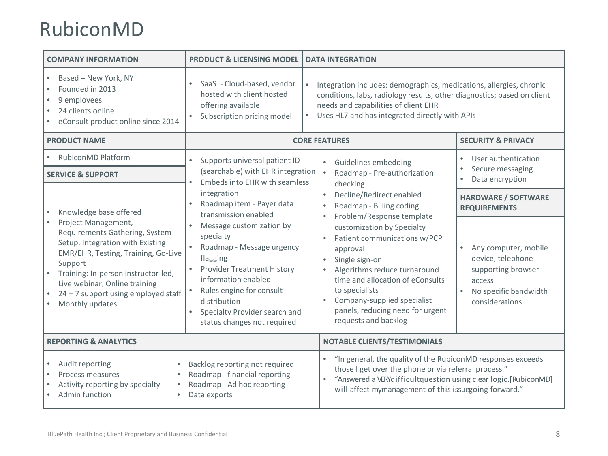### RubiconMD

| <b>COMPANY INFORMATION</b>                                                                                                                                                                                                                                                                   | <b>PRODUCT &amp; LICENSING MODEL</b>                                                                          | <b>DATA INTEGRATION</b>                                                                                                                                                                                                                                                                                                                                                                                                                                                                                                                                                                                                                                                                                                                                                                                                                                           |                                                                                                                                                |
|----------------------------------------------------------------------------------------------------------------------------------------------------------------------------------------------------------------------------------------------------------------------------------------------|---------------------------------------------------------------------------------------------------------------|-------------------------------------------------------------------------------------------------------------------------------------------------------------------------------------------------------------------------------------------------------------------------------------------------------------------------------------------------------------------------------------------------------------------------------------------------------------------------------------------------------------------------------------------------------------------------------------------------------------------------------------------------------------------------------------------------------------------------------------------------------------------------------------------------------------------------------------------------------------------|------------------------------------------------------------------------------------------------------------------------------------------------|
| Based - New York, NY<br>Founded in 2013<br>9 employees<br>24 clients online<br>eConsult product online since 2014                                                                                                                                                                            | SaaS - Cloud-based, vendor<br>hosted with client hosted<br>offering available<br>Subscription pricing model   | Integration includes: demographics, medications, allergies, chronic<br>conditions, labs, radiology results, other diagnostics; based on client<br>needs and capabilities of client EHR<br>Uses HL7 and has integrated directly with APIs<br>$\bullet$                                                                                                                                                                                                                                                                                                                                                                                                                                                                                                                                                                                                             |                                                                                                                                                |
| <b>PRODUCT NAME</b>                                                                                                                                                                                                                                                                          |                                                                                                               | <b>CORE FEATURES</b>                                                                                                                                                                                                                                                                                                                                                                                                                                                                                                                                                                                                                                                                                                                                                                                                                                              | <b>SECURITY &amp; PRIVACY</b>                                                                                                                  |
| RubiconMD Platform                                                                                                                                                                                                                                                                           | Supports universal patient ID<br>$\bullet$                                                                    | Guidelines embedding<br>$\bullet$                                                                                                                                                                                                                                                                                                                                                                                                                                                                                                                                                                                                                                                                                                                                                                                                                                 | User authentication<br>$\bullet$                                                                                                               |
| <b>SERVICE &amp; SUPPORT</b>                                                                                                                                                                                                                                                                 |                                                                                                               | (searchable) with EHR integration<br>Roadmap - Pre-authorization<br>$\bullet$<br>Embeds into EHR with seamless<br>checking<br>integration<br>Decline/Redirect enabled<br>$\bullet$<br>Roadmap item - Payer data<br>Roadmap - Billing coding<br>transmission enabled<br>Problem/Response template<br>Message customization by<br>customization by Specialty<br>specialty<br>Patient communications w/PCP<br>$\bullet$<br>Roadmap - Message urgency<br>approval<br>flagging<br>Single sign-on<br><b>Provider Treatment History</b><br>Algorithms reduce turnaround<br>time and allocation of eConsults<br>information enabled<br>to specialists<br>Rules engine for consult<br>Company-supplied specialist<br>$\bullet$<br>distribution<br>panels, reducing need for urgent<br>Specialty Provider search and<br>requests and backlog<br>status changes not required | Secure messaging<br>Data encryption                                                                                                            |
| Knowledge base offered                                                                                                                                                                                                                                                                       | $\bullet$                                                                                                     |                                                                                                                                                                                                                                                                                                                                                                                                                                                                                                                                                                                                                                                                                                                                                                                                                                                                   | <b>HARDWARE / SOFTWARE</b><br><b>REQUIREMENTS</b>                                                                                              |
| Project Management,<br>$\bullet$<br>Requirements Gathering, System<br>Setup, Integration with Existing<br>EMR/EHR, Testing, Training, Go-Live<br>Support<br>Training: In-person instructor-led,<br>Live webinar, Online training<br>$24 - 7$ support using employed staff<br>Monthly updates |                                                                                                               |                                                                                                                                                                                                                                                                                                                                                                                                                                                                                                                                                                                                                                                                                                                                                                                                                                                                   | Any computer, mobile<br>$\bullet$<br>device, telephone<br>supporting browser<br>access<br>No specific bandwidth<br>$\bullet$<br>considerations |
| <b>REPORTING &amp; ANALYTICS</b>                                                                                                                                                                                                                                                             |                                                                                                               | <b>NOTABLE CLIENTS/TESTIMONIALS</b>                                                                                                                                                                                                                                                                                                                                                                                                                                                                                                                                                                                                                                                                                                                                                                                                                               |                                                                                                                                                |
| Audit reporting<br>Process measures<br>Activity reporting by specialty<br>Admin function                                                                                                                                                                                                     | Backlog reporting not required<br>Roadmap - financial reporting<br>Roadmap - Ad hoc reporting<br>Data exports | "In general, the quality of the RubiconMD responses exceeds<br>those I get over the phone or via referral process."<br>"Answered a VERYdifficultquestion using clear logic.[RubiconMD]<br>will affect mymanagement of this issuegoing forward."                                                                                                                                                                                                                                                                                                                                                                                                                                                                                                                                                                                                                   |                                                                                                                                                |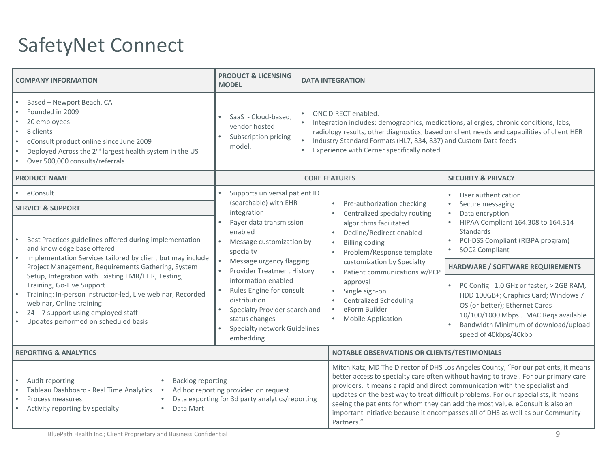# SafetyNet Connect

| <b>COMPANY INFORMATION</b>                                                                                                                                                                                                                                                                                                | <b>PRODUCT &amp; LICENSING</b><br><b>MODEL</b>                                                                                                                  | <b>DATA INTEGRATION</b>                                                                                                                                                                                                      |                                                                                                                                                                                                                                                                                                                                                                                                                                                                                                                      |  |
|---------------------------------------------------------------------------------------------------------------------------------------------------------------------------------------------------------------------------------------------------------------------------------------------------------------------------|-----------------------------------------------------------------------------------------------------------------------------------------------------------------|------------------------------------------------------------------------------------------------------------------------------------------------------------------------------------------------------------------------------|----------------------------------------------------------------------------------------------------------------------------------------------------------------------------------------------------------------------------------------------------------------------------------------------------------------------------------------------------------------------------------------------------------------------------------------------------------------------------------------------------------------------|--|
| Based - Newport Beach, CA<br>$\bullet$<br>Founded in 2009<br>$\bullet$<br>20 employees<br>$\bullet$<br>8 clients<br>$\bullet$<br>eConsult product online since June 2009<br>$\bullet$<br>Deployed Across the 2 <sup>nd</sup> largest health system in the US<br>$\bullet$<br>Over 500,000 consults/referrals<br>$\bullet$ | SaaS - Cloud-based.<br>vendor hosted<br>Subscription pricing<br>$\bullet$<br>model.                                                                             | ONC DIRECT enabled.<br>Integration includes: demographics, medications, allergies, chronic conditions, labs,<br>Industry Standard Formats (HL7, 834, 837) and Custom Data feeds<br>Experience with Cerner specifically noted | radiology results, other diagnostics; based on client needs and capabilities of client HER                                                                                                                                                                                                                                                                                                                                                                                                                           |  |
| <b>PRODUCT NAME</b>                                                                                                                                                                                                                                                                                                       |                                                                                                                                                                 | <b>CORE FEATURES</b>                                                                                                                                                                                                         | <b>SECURITY &amp; PRIVACY</b>                                                                                                                                                                                                                                                                                                                                                                                                                                                                                        |  |
| eConsult                                                                                                                                                                                                                                                                                                                  | Supports universal patient ID                                                                                                                                   |                                                                                                                                                                                                                              | User authentication<br>$\bullet$                                                                                                                                                                                                                                                                                                                                                                                                                                                                                     |  |
| <b>SERVICE &amp; SUPPORT</b>                                                                                                                                                                                                                                                                                              | (searchable) with EHR<br>integration                                                                                                                            | Pre-authorization checking<br>Centralized specialty routing                                                                                                                                                                  | Secure messaging<br>$\bullet$<br>Data encryption<br>$\bullet$<br>HIPAA Compliant 164.308 to 164.314<br>$\bullet$<br>Standards<br>PCI-DSS Compliant (RI3PA program)<br>SOC2 Compliant                                                                                                                                                                                                                                                                                                                                 |  |
| Best Practices guidelines offered during implementation<br>and knowledge base offered<br>$\bullet$<br>Implementation Services tailored by client but may include                                                                                                                                                          | Payer data transmission<br>enabled<br>Message customization by<br>specialty                                                                                     | algorithms facilitated<br>Decline/Redirect enabled<br><b>Billing coding</b><br>Problem/Response template                                                                                                                     |                                                                                                                                                                                                                                                                                                                                                                                                                                                                                                                      |  |
| Project Management, Requirements Gathering, System                                                                                                                                                                                                                                                                        | Message urgency flagging<br><b>Provider Treatment History</b>                                                                                                   | customization by Specialty<br>Patient communications w/PCP                                                                                                                                                                   | HARDWARE / SOFTWARE REQUIREMENTS                                                                                                                                                                                                                                                                                                                                                                                                                                                                                     |  |
| Setup, Integration with Existing EMR/EHR, Testing,<br>Training, Go-Live Support<br>Training: In-person instructor-led, Live webinar, Recorded<br>webinar, Online training<br>$24 - 7$ support using employed staff<br>Updates performed on scheduled basis                                                                | information enabled<br>Rules Engine for consult<br>distribution<br>Specialty Provider search and<br>status changes<br>Specialty network Guidelines<br>embedding | approval<br>Single sign-on<br><b>Centralized Scheduling</b><br>eForm Builder<br><b>Mobile Application</b>                                                                                                                    | PC Config: 1.0 GHz or faster, > 2GB RAM,<br>$\bullet$<br>HDD 100GB+; Graphics Card; Windows 7<br>OS (or better); Ethernet Cards<br>10/100/1000 Mbps. MAC Regs available<br>Bandwidth Minimum of download/upload<br>speed of 40kbps/40kbp                                                                                                                                                                                                                                                                             |  |
| <b>REPORTING &amp; ANALYTICS</b>                                                                                                                                                                                                                                                                                          |                                                                                                                                                                 |                                                                                                                                                                                                                              | NOTABLE OBSERVATIONS OR CLIENTS/TESTIMONIALS                                                                                                                                                                                                                                                                                                                                                                                                                                                                         |  |
| Audit reporting<br><b>Backlog reporting</b><br>$\bullet$<br>Ad hoc reporting provided on request<br>Tableau Dashboard - Real Time Analytics<br>$\bullet$<br>$\bullet$<br>Data exporting for 3d party analytics/reporting<br>$\bullet$<br>Process measures<br>Activity reporting by specialty<br>Data Mart<br>$\bullet$    |                                                                                                                                                                 | Partners."                                                                                                                                                                                                                   | Mitch Katz, MD The Director of DHS Los Angeles County, "For our patients, it means<br>better access to specialty care often without having to travel. For our primary care<br>providers, it means a rapid and direct communication with the specialist and<br>updates on the best way to treat difficult problems. For our specialists, it means<br>seeing the patients for whom they can add the most value. eConsult is also an<br>important initiative because it encompasses all of DHS as well as our Community |  |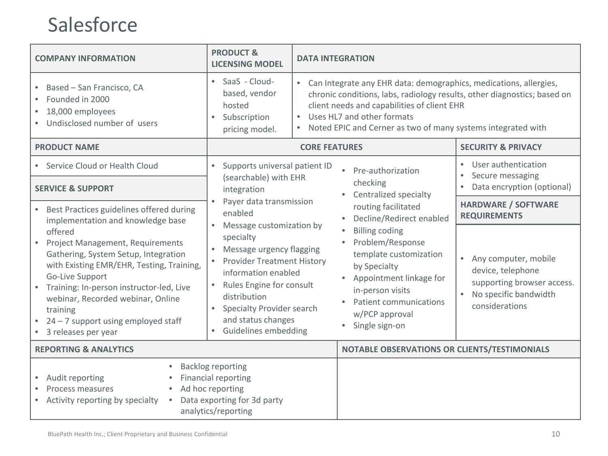### Salesforce

| <b>COMPANY INFORMATION</b>                                                                                                                                                                                                                                                                                       | <b>PRODUCT &amp;</b><br><b>LICENSING MODEL</b>                                                                                                                                                                                                    | <b>DATA INTEGRATION</b>                                                                                                                                                                                                                                                                                 |                                                                                                                                 |
|------------------------------------------------------------------------------------------------------------------------------------------------------------------------------------------------------------------------------------------------------------------------------------------------------------------|---------------------------------------------------------------------------------------------------------------------------------------------------------------------------------------------------------------------------------------------------|---------------------------------------------------------------------------------------------------------------------------------------------------------------------------------------------------------------------------------------------------------------------------------------------------------|---------------------------------------------------------------------------------------------------------------------------------|
| Based - San Francisco, CA<br>Founded in 2000<br>18,000 employees<br>Undisclosed number of users                                                                                                                                                                                                                  | • SaaS - Cloud-<br>based, vendor<br>hosted<br>Subscription<br>$\bullet$<br>pricing model.                                                                                                                                                         | Can Integrate any EHR data: demographics, medications, allergies,<br>chronic conditions, labs, radiology results, other diagnostics; based on<br>client needs and capabilities of client EHR<br>Uses HL7 and other formats<br>$\bullet$<br>Noted EPIC and Cerner as two of many systems integrated with |                                                                                                                                 |
| <b>PRODUCT NAME</b>                                                                                                                                                                                                                                                                                              |                                                                                                                                                                                                                                                   | <b>CORE FEATURES</b>                                                                                                                                                                                                                                                                                    | <b>SECURITY &amp; PRIVACY</b>                                                                                                   |
| • Service Cloud or Health Cloud                                                                                                                                                                                                                                                                                  | Supports universal patient ID<br>$\bullet$                                                                                                                                                                                                        | Pre-authorization                                                                                                                                                                                                                                                                                       | User authentication                                                                                                             |
| <b>SERVICE &amp; SUPPORT</b>                                                                                                                                                                                                                                                                                     | (searchable) with EHR<br>integration                                                                                                                                                                                                              | checking<br>Centralized specialty                                                                                                                                                                                                                                                                       | Secure messaging<br>Data encryption (optional)                                                                                  |
| • Best Practices guidelines offered during<br>implementation and knowledge base                                                                                                                                                                                                                                  | Payer data transmission<br>enabled                                                                                                                                                                                                                | routing facilitated<br>Decline/Redirect enabled<br>$\bullet$                                                                                                                                                                                                                                            | <b>HARDWARE / SOFTWARE</b><br><b>REQUIREMENTS</b>                                                                               |
| offered<br>Project Management, Requirements<br>Gathering, System Setup, Integration<br>with Existing EMR/EHR, Testing, Training,<br>Go-Live Support<br>• Training: In-person instructor-led, Live<br>webinar, Recorded webinar, Online<br>training<br>24 - 7 support using employed staff<br>3 releases per year | Message customization by<br>specialty<br>Message urgency flagging<br>• Provider Treatment History<br>information enabled<br>Rules Engine for consult<br>distribution<br>Specialty Provider search<br>and status changes<br>• Guidelines embedding | <b>Billing coding</b><br>Problem/Response<br>$\bullet$<br>template customization<br>by Specialty<br>Appointment linkage for<br>$\bullet$<br>in-person visits<br>Patient communications<br>$\bullet$<br>w/PCP approval<br>Single sign-on                                                                 | Any computer, mobile<br>$\bullet$<br>device, telephone<br>supporting browser access.<br>No specific bandwidth<br>considerations |
| <b>REPORTING &amp; ANALYTICS</b>                                                                                                                                                                                                                                                                                 |                                                                                                                                                                                                                                                   | NOTABLE OBSERVATIONS OR CLIENTS/TESTIMONIALS                                                                                                                                                                                                                                                            |                                                                                                                                 |
| Audit reporting<br>Process measures<br>Activity reporting by specialty                                                                                                                                                                                                                                           | <b>Backlog reporting</b><br><b>Financial reporting</b><br>Ad hoc reporting<br>Data exporting for 3d party<br>analytics/reporting                                                                                                                  |                                                                                                                                                                                                                                                                                                         |                                                                                                                                 |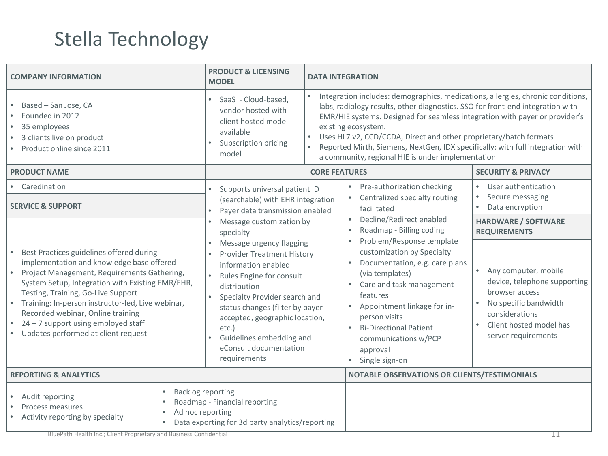# Stella Technology

| <b>COMPANY INFORMATION</b>                                                                                                                                                                                                                                                                                                                                                                               | <b>PRODUCT &amp; LICENSING</b><br><b>MODEL</b>                                                                                                                                                                                                                                                                                                                                              | <b>DATA INTEGRATION</b>                                                                                                                                                                                                                                                                                                                                                                                                                                                                          |                                                                                                                                                                                                                                                    |
|----------------------------------------------------------------------------------------------------------------------------------------------------------------------------------------------------------------------------------------------------------------------------------------------------------------------------------------------------------------------------------------------------------|---------------------------------------------------------------------------------------------------------------------------------------------------------------------------------------------------------------------------------------------------------------------------------------------------------------------------------------------------------------------------------------------|--------------------------------------------------------------------------------------------------------------------------------------------------------------------------------------------------------------------------------------------------------------------------------------------------------------------------------------------------------------------------------------------------------------------------------------------------------------------------------------------------|----------------------------------------------------------------------------------------------------------------------------------------------------------------------------------------------------------------------------------------------------|
| Based - San Jose, CA<br>Founded in 2012<br>35 employees<br>3 clients live on product<br>Product online since 2011                                                                                                                                                                                                                                                                                        | SaaS - Cloud-based,<br>vendor hosted with<br>client hosted model<br>available<br>Subscription pricing<br>model                                                                                                                                                                                                                                                                              | Integration includes: demographics, medications, allergies, chronic conditions,<br>labs, radiology results, other diagnostics. SSO for front-end integration with<br>EMR/HIE systems. Designed for seamless integration with payer or provider's<br>existing ecosystem.<br>Uses HL7 v2, CCD/CCDA, Direct and other proprietary/batch formats<br>$\bullet$<br>Reported Mirth, Siemens, NextGen, IDX specifically; with full integration with<br>a community, regional HIE is under implementation |                                                                                                                                                                                                                                                    |
| <b>PRODUCT NAME</b>                                                                                                                                                                                                                                                                                                                                                                                      | <b>CORE FEATURES</b>                                                                                                                                                                                                                                                                                                                                                                        |                                                                                                                                                                                                                                                                                                                                                                                                                                                                                                  | <b>SECURITY &amp; PRIVACY</b>                                                                                                                                                                                                                      |
| • Caredination<br><b>SERVICE &amp; SUPPORT</b>                                                                                                                                                                                                                                                                                                                                                           | Supports universal patient ID<br>$\bullet$<br>(searchable) with EHR integration<br>Payer data transmission enabled                                                                                                                                                                                                                                                                          | Pre-authorization checking<br>Centralized specialty routing<br>facilitated                                                                                                                                                                                                                                                                                                                                                                                                                       | User authentication<br>Secure messaging<br>Data encryption                                                                                                                                                                                         |
| Best Practices guidelines offered during<br>implementation and knowledge base offered<br>Project Management, Requirements Gathering,<br>System Setup, Integration with Existing EMR/EHR,<br>Testing, Training, Go-Live Support<br>Training: In-person instructor-led, Live webinar,<br>Recorded webinar, Online training<br>$24 - 7$ support using employed staff<br>Updates performed at client request | Message customization by<br>specialty<br>Message urgency flagging<br><b>Provider Treatment History</b><br>information enabled<br>Rules Engine for consult<br>$\bullet$<br>distribution<br>Specialty Provider search and<br>$\bullet$<br>status changes (filter by payer<br>accepted, geographic location,<br>$etc.$ )<br>Guidelines embedding and<br>eConsult documentation<br>requirements | Decline/Redirect enabled<br>Roadmap - Billing coding<br>Problem/Response template<br>customization by Specialty<br>Documentation, e.g. care plans<br>(via templates)<br>Care and task management<br>features<br>• Appointment linkage for in-<br>person visits<br><b>Bi-Directional Patient</b><br>communications w/PCP<br>approval<br>Single sign-on<br>$\bullet$                                                                                                                               | <b>HARDWARE / SOFTWARE</b><br><b>REQUIREMENTS</b><br>Any computer, mobile<br>$\bullet$<br>device, telephone supporting<br>browser access<br>No specific bandwidth<br>$\bullet$<br>considerations<br>Client hosted model has<br>server requirements |
| <b>REPORTING &amp; ANALYTICS</b>                                                                                                                                                                                                                                                                                                                                                                         |                                                                                                                                                                                                                                                                                                                                                                                             | NOTABLE OBSERVATIONS OR CLIENTS/TESTIMONIALS                                                                                                                                                                                                                                                                                                                                                                                                                                                     |                                                                                                                                                                                                                                                    |
| Audit reporting<br>Process measures<br>Ad hoc reporting<br>Activity reporting by specialty                                                                                                                                                                                                                                                                                                               | <b>Backlog reporting</b><br>Roadmap - Financial reporting<br>Data exporting for 3d party analytics/reporting                                                                                                                                                                                                                                                                                |                                                                                                                                                                                                                                                                                                                                                                                                                                                                                                  |                                                                                                                                                                                                                                                    |